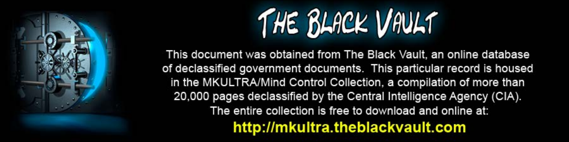

This document was obtained from The Black Vault, an online database of declassified government documents. This particular record is housed in the MKULTRA/Mind Control Collection, a compilation of more than 20,000 pages declassified by the Central Intelligence Agency (CIA). The entire collection is free to download and online at: http://mkultra.theblackvault.com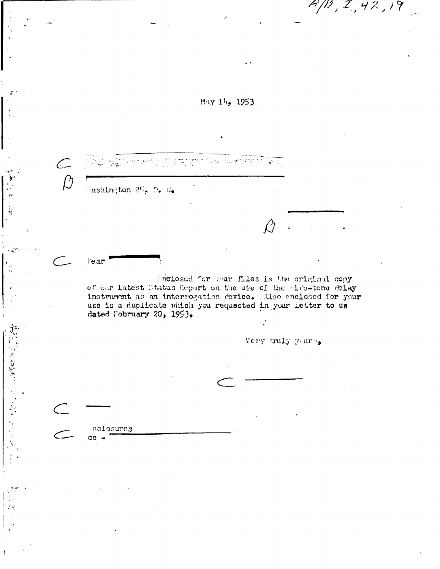

 $\mathcal{L}$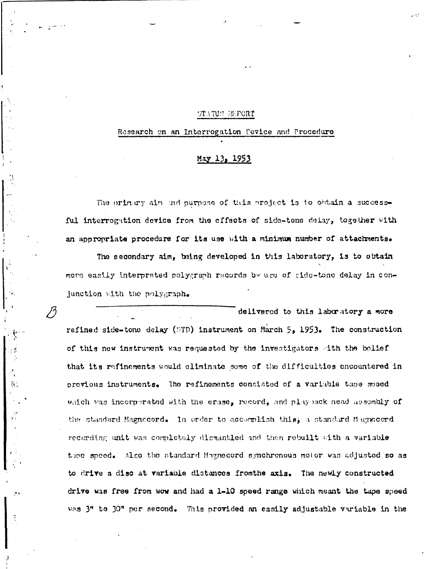## STATUS BEFORT

## Research on an Interrogation Pevice and Procedure

## May 13, 1953

The primary aim and purpose of this project is to obtain a successful interrogation device from the effects of side-tone delay, together with an appropriate procedure for its use with a minimum number of attachments.

The secondary aim, being developed in this laboratory, is to obtain move easily interpreted polygraph records by use of side-tone delay in conjunction with the polygraph.

75

 $\frac{3}{2}$ .

delivered to this laboratory a more refined side-tone delay (STD) instrument on March 5, 1953. The construction of this new instrument was requested by the investigators with the bolief that its refinements would eliminate some of the difficulties encountered in previous instruments. The refinements consisted of a variable tape speed which was incorporated with the erase, record, and playback nead assembly of the standard Magnecord. In order to accomplish this, a standard Magnecord recording unit was completely dismantled and then rebuilt with a variable the speed. Also the standard Hagnecord synchronous motor was adjusted so as to drive a disc at variable distances fromthe axis. The newly constructed drive was free from wow and had a 1-10 speed range which meant the tape speed was 3" to 30" per second. This provided an easily adjustable variable in the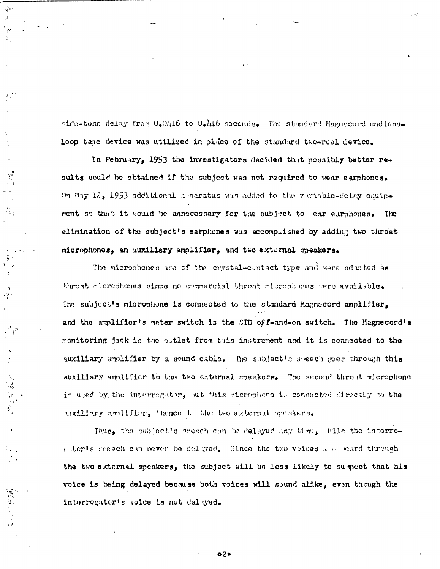side-tone delay from 0.0416 to 0.416 seconds. The standard Magnecord endlessloop tane device was utilized in place of the standard two-reel device.

In February, 1953 the investigators decided that possibly batter results could be obtained if the subject was not required to wear earphones. On May 12, 1953 additional apparatus was added to the variable-delay equipment so that it would be unnecessary for the subject to Gear earphones. The elimination of the subject's earphones was accomplished by adding two throat microphones, an auxiliary amplifier, and two external speakers.

The microphones are of the crystal-contact type and were admuted as throat microphones since no commercial throat microphones were available. The subject's microphone is connected to the standard Hagnecord amplifier. and the amplifier's meter switch is the STD of f-and-on switch. The Magnecord's monitoring jack is the outlet from this instrument and it is connected to the auxiliary amplifier by a sound cable. The subject's speech goes through this auxiliary amplifier to the two external speakers. The second throat microphone is used by the interrogator, but this sicrephene is connected directly to the saxiliary amplifier, thence to the two external speakers.

计智能 计显图

医牙科

Thus, the subject's mosech can be delayed any time, hile the interrogator's seech can never be delayed. Since the two voices are heard through the two external speakers, the subject will be less likely to sumpect that his voice is being delayed because both voices will sound alike, even though the interrogator's voice is not delayed.

 $27$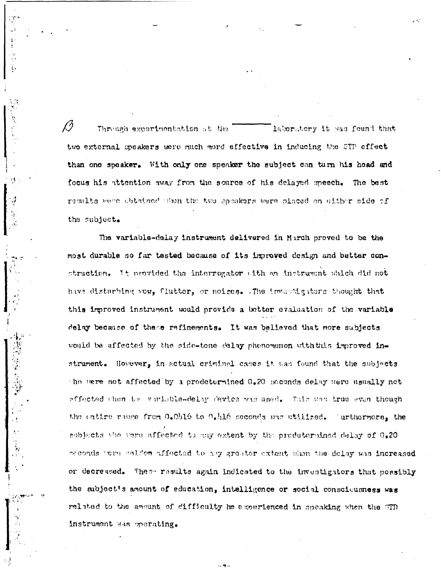laboratory it sas found that Through experimentation at the two external speakers were much more effective in inducing the STP effect than one speaker. With only one speaker the subject can turn his head and focus his attention away from the source of his delayed speech. The best results were obtained then the two speakers were placed on either side of the subject.

The variable-delay instrument delivered in March proved to be the most durable so far tested because of its improved design and better construction. It provided the interrogator with an instrument which did not hive disturbing you, flutter, or noises. The invastigators thought that this improved instrument would provide a better evaluation of the variable delay because of these refinements. It was believed that more subjects would be affected by the side-tone delay phenomenon with this improved instrument. However, in actual criminal cases it was found that the subjects the were not affected by a prodetermined 0.20 seconds delay were usually not affected then the variable-delay device was used. This was true even though the entire range from 0.0016 to 0.416 seconds was utilized. Turthermore, the subjects the vere affected to any extent by the predetermined delay of 0.20 orconds were caldem affected to any greater extent shen the delay was increased These results again indicated to the investigators that possibly or decreased. the subject's amount of education, intelligence or social consciousness was related to the amount of difficulty he experienced in speaking when the STD instrument was operating.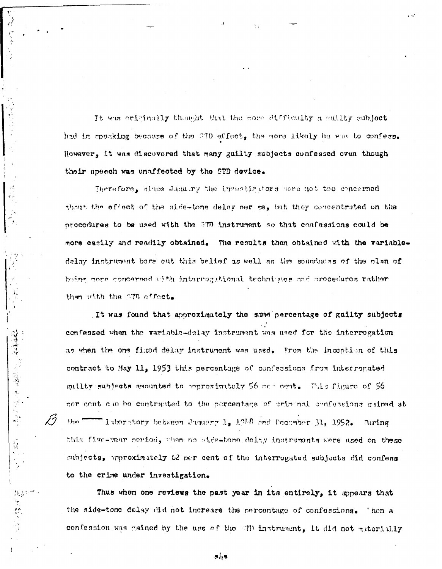It was originally thought that the more difficulty a guilty subject had in speaking because of the STD effect, the more likely he was to confess. However, it was discovered that many guilty subjects confessed even though their speech was unaffected by the STD device.

 $\Omega$ 

医慢性皮质 人名英格兰 医心脏性心脏的

 $\mathcal{H}_i$ 

Therefore, since January the investigators were not too concerned about the effect of the side-tone delay per se, but they concentrated on the procedures to be used with the STD instrument so that confessions could be more easily and readily obtained. The results then obtained with the variabledelay instrument bore out this belief as well as the soundness of the plan of being nore concerned with interrogational techniques and erecedures rather than with the STD effect.

It was found that approximately the same percentage of guilty subjects confessed when the variable-delay instrument was used for the interrogation as when the one fixed delay instrument was used. From the inception of this contract to May 11, 1953 this percentage of confessions from interrogated guilty subjects amounted to approximately 56 new cent. This figure of 56 ner cont can be contrasted to the percentage of criminal confessions gained at  $$ "laboratory between January 1, 1916 and Decamber 31, 1952. Auring this flue-year period, when no side-tone dolay instruments were used on these subjects, approximately 62 per cent of the interrogated subjects did confess to the crime under investigation.

Thus when one reviews the past year in its entirely, it appears that the side-tons delay did not increase the percentage of confessions. Then a confession was gained by the use of the STD instrument, it did not materially

長川市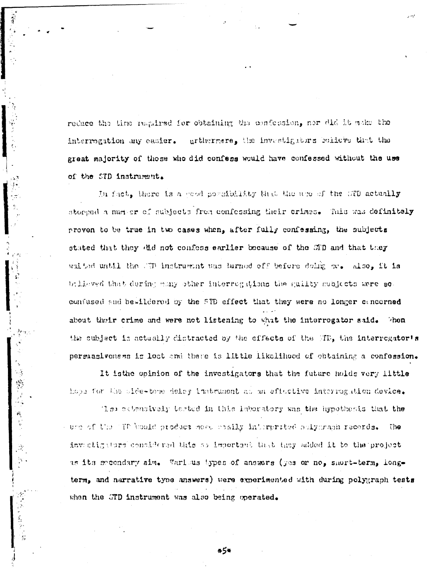reduce the time required for obtaining the confession, nor did it make the urthermere, the investigators believe that the interrogation any easier. great majority of those who did confess would have confessed without the use of the STD instrument.

W.

 $\epsilon$ 

医海藤阿尔氏性肾炎

In fact, there is a good porcibility that the upo of the GTD actually storped a nurber of subjects from confessing their crimes. This was definitely proven to be true in two cases when, after fully confessing, the subjects stated that they (Hd not confess earlier because of the STD and that they whited until the CTD instruction was turned off before doing se. Also, it is biliswed that during many other interrogations the quilty subjects were so confused and bewildered by the STD effect that they were no longer concerned about their crime and were not listening to what the interrogator said. the subject is actually distracted by the effects of the WTP, the interrogator's persuasiveness is lost and there is little likelihood of obtaining a confession.

It is the opinion of the investigators that the future holds very little hope for the side-tone delsy instrument as an effective interrogation device.

The extensively tested in this laboratory was the hypothesis that the - une of the TTP bould produce ment cosily interpreted sulycraph records. ົ, ໂດ invectigators considered this so important that they added it to the project as its meendary aim. Various bypes of answers (yes or no, short-term, longterm, and narrative tyne answers) were experimented with during polygraph tests when the GTD instrument was also being operated.

\*5\*